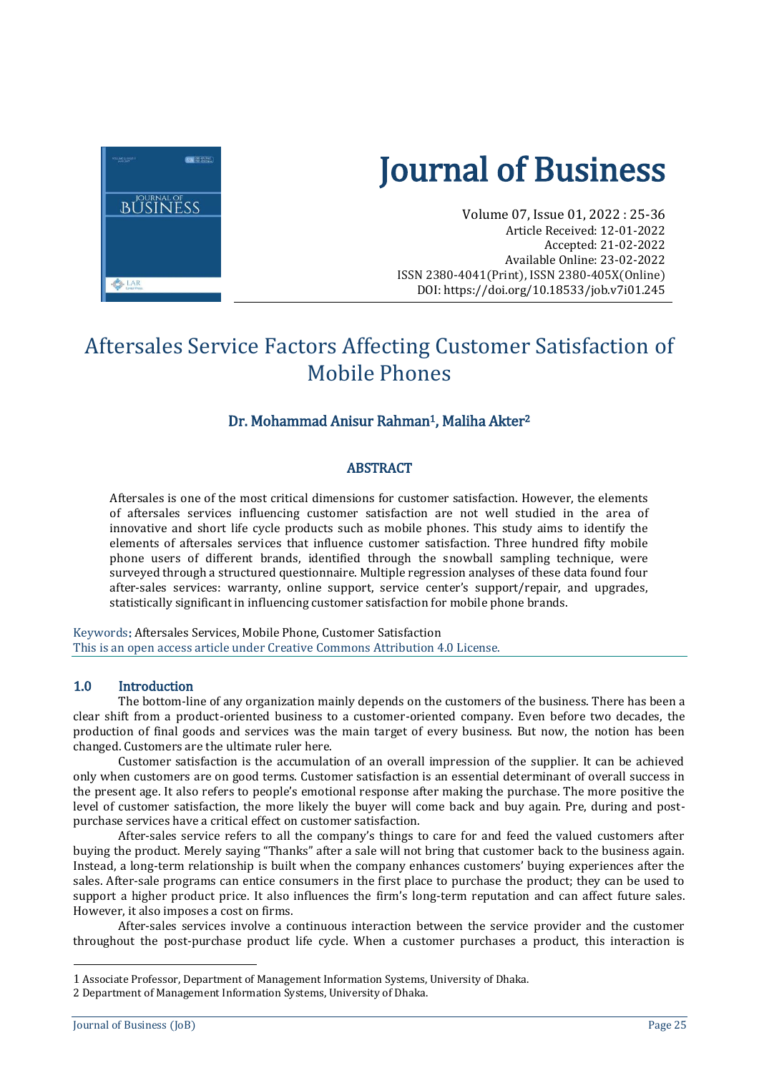

# Journal of Business

Volume 07, Issue 01, 2022 : 25-36 Article Received: 12-01-2022 Accepted: 21-02-2022 Available Online: 23-02-2022 ISSN 2380-4041(Print), ISSN 2380-405X(Online) DOI: <https://doi.org/10.18533/job.v7i01.245>

# Aftersales Service Factors Affecting Customer Satisfaction of Mobile Phones

#### Dr. Mohammad Anisur Rahman<sup>1</sup>, Maliha Akter<sup>2</sup>

#### **ABSTRACT**

Aftersales is one of the most critical dimensions for customer satisfaction. However, the elements of aftersales services influencing customer satisfaction are not well studied in the area of innovative and short life cycle products such as mobile phones. This study aims to identify the elements of aftersales services that influence customer satisfaction. Three hundred fifty mobile phone users of different brands, identified through the snowball sampling technique, were surveyed through a structured questionnaire. Multiple regression analyses of these data found four after-sales services: warranty, online support, service center's support/repair, and upgrades, statistically significant in influencing customer satisfaction for mobile phone brands.

Keywords: Aftersales Services, Mobile Phone, Customer Satisfaction This is an open access article under Creative Commons Attribution 4.0 License.

#### 1.0 Introduction

The bottom-line of any organization mainly depends on the customers of the business. There has been a clear shift from a product-oriented business to a customer-oriented company. Even before two decades, the production of final goods and services was the main target of every business. But now, the notion has been changed. Customers are the ultimate ruler here.

Customer satisfaction is the accumulation of an overall impression of the supplier. It can be achieved only when customers are on good terms. Customer satisfaction is an essential determinant of overall success in the present age. It also refers to people's emotional response after making the purchase. The more positive the level of customer satisfaction, the more likely the buyer will come back and buy again. Pre, during and postpurchase services have a critical effect on customer satisfaction.

After-sales service refers to all the company's things to care for and feed the valued customers after buying the product. Merely saying "Thanks" after a sale will not bring that customer back to the business again. Instead, a long-term relationship is built when the company enhances customers' buying experiences after the sales. After-sale programs can entice consumers in the first place to purchase the product; they can be used to support a higher product price. It also influences the firm's long-term reputation and can affect future sales. However, it also imposes a cost on firms.

After-sales services involve a continuous interaction between the service provider and the customer throughout the post-purchase product life cycle. When a customer purchases a product, this interaction is

 $\overline{a}$ 

<sup>1</sup> Associate Professor, Department of Management Information Systems, University of Dhaka.

<sup>2</sup> Department of Management Information Systems, University of Dhaka.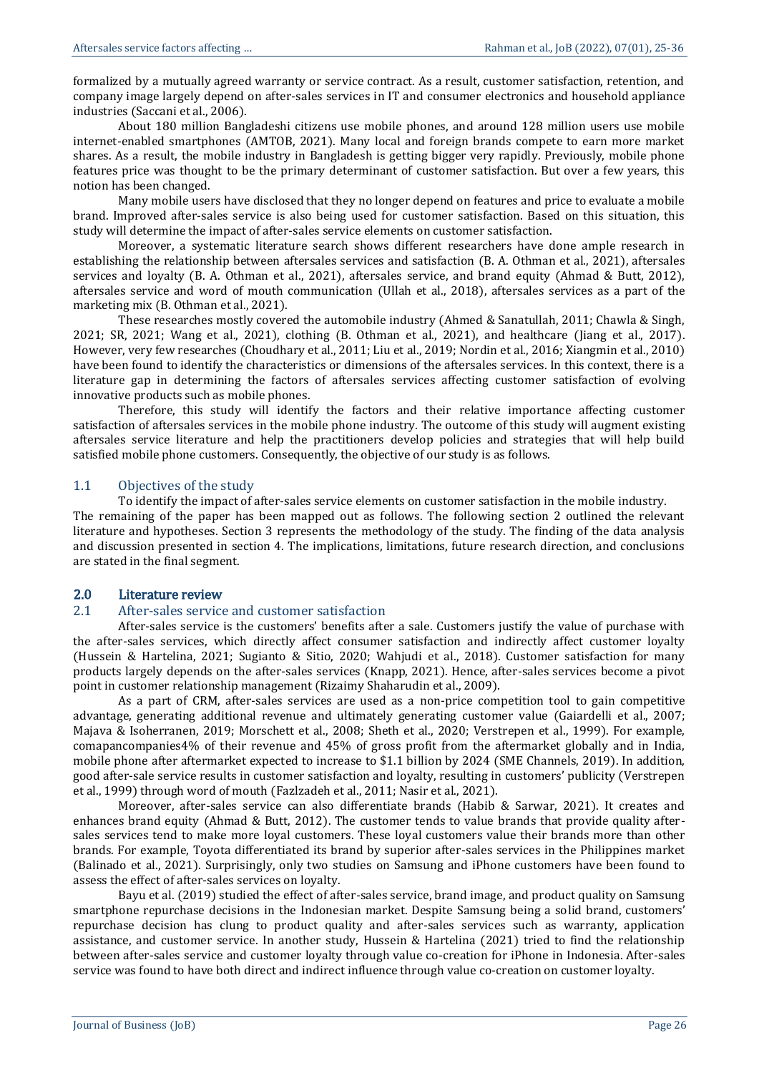formalized by a mutually agreed warranty or service contract. As a result, customer satisfaction, retention, and company image largely depend on after-sales services in IT and consumer electronics and household appliance industries (Saccani et al., 2006).

About 180 million Bangladeshi citizens use mobile phones, and around 128 million users use mobile internet-enabled smartphones (AMTOB, 2021). Many local and foreign brands compete to earn more market shares. As a result, the mobile industry in Bangladesh is getting bigger very rapidly. Previously, mobile phone features price was thought to be the primary determinant of customer satisfaction. But over a few years, this notion has been changed.

Many mobile users have disclosed that they no longer depend on features and price to evaluate a mobile brand. Improved after-sales service is also being used for customer satisfaction. Based on this situation, this study will determine the impact of after-sales service elements on customer satisfaction.

Moreover, a systematic literature search shows different researchers have done ample research in establishing the relationship between aftersales services and satisfaction (B. A. Othman et al., 2021), aftersales services and loyalty (B. A. Othman et al., 2021), aftersales service, and brand equity (Ahmad & Butt, 2012), aftersales service and word of mouth communication (Ullah et al., 2018), aftersales services as a part of the marketing mix (B. Othman et al., 2021).

These researches mostly covered the automobile industry (Ahmed & Sanatullah, 2011; Chawla & Singh, 2021; SR, 2021; Wang et al., 2021), clothing (B. Othman et al., 2021), and healthcare (Jiang et al., 2017). However, very few researches (Choudhary et al., 2011; Liu et al., 2019; Nordin et al., 2016; Xiangmin et al., 2010) have been found to identify the characteristics or dimensions of the aftersales services. In this context, there is a literature gap in determining the factors of aftersales services affecting customer satisfaction of evolving innovative products such as mobile phones.

Therefore, this study will identify the factors and their relative importance affecting customer satisfaction of aftersales services in the mobile phone industry. The outcome of this study will augment existing aftersales service literature and help the practitioners develop policies and strategies that will help build satisfied mobile phone customers. Consequently, the objective of our study is as follows.

#### 1.1 Objectives of the study

To identify the impact of after-sales service elements on customer satisfaction in the mobile industry.

The remaining of the paper has been mapped out as follows. The following section 2 outlined the relevant literature and hypotheses. Section 3 represents the methodology of the study. The finding of the data analysis and discussion presented in section 4. The implications, limitations, future research direction, and conclusions are stated in the final segment.

#### 2.0 Literature review

#### 2.1 After-sales service and customer satisfaction

After-sales service is the customers' benefits after a sale. Customers justify the value of purchase with the after-sales services, which directly affect consumer satisfaction and indirectly affect customer loyalty (Hussein & Hartelina, 2021; Sugianto & Sitio, 2020; Wahjudi et al., 2018). Customer satisfaction for many products largely depends on the after-sales services (Knapp, 2021). Hence, after-sales services become a pivot point in customer relationship management (Rizaimy Shaharudin et al., 2009).

As a part of CRM, after-sales services are used as a non-price competition tool to gain competitive advantage, generating additional revenue and ultimately generating customer value (Gaiardelli et al., 2007; Majava & Isoherranen, 2019; Morschett et al., 2008; Sheth et al., 2020; Verstrepen et al., 1999). For example, comapancompanies4% of their revenue and 45% of gross profit from the aftermarket globally and in India, mobile phone after aftermarket expected to increase to \$1.1 billion by 2024 (SME Channels, 2019). In addition, good after-sale service results in customer satisfaction and loyalty, resulting in customers' publicity (Verstrepen et al., 1999) through word of mouth (Fazlzadeh et al., 2011; Nasir et al., 2021).

Moreover, after-sales service can also differentiate brands (Habib & Sarwar, 2021). It creates and enhances brand equity (Ahmad & Butt, 2012). The customer tends to value brands that provide quality aftersales services tend to make more loyal customers. These loyal customers value their brands more than other brands. For example, Toyota differentiated its brand by superior after-sales services in the Philippines market (Balinado et al., 2021). Surprisingly, only two studies on Samsung and iPhone customers have been found to assess the effect of after-sales services on loyalty.

Bayu et al. (2019) studied the effect of after-sales service, brand image, and product quality on Samsung smartphone repurchase decisions in the Indonesian market. Despite Samsung being a solid brand, customers' repurchase decision has clung to product quality and after-sales services such as warranty, application assistance, and customer service. In another study, Hussein & Hartelina (2021) tried to find the relationship between after-sales service and customer loyalty through value co-creation for iPhone in Indonesia. After-sales service was found to have both direct and indirect influence through value co-creation on customer loyalty.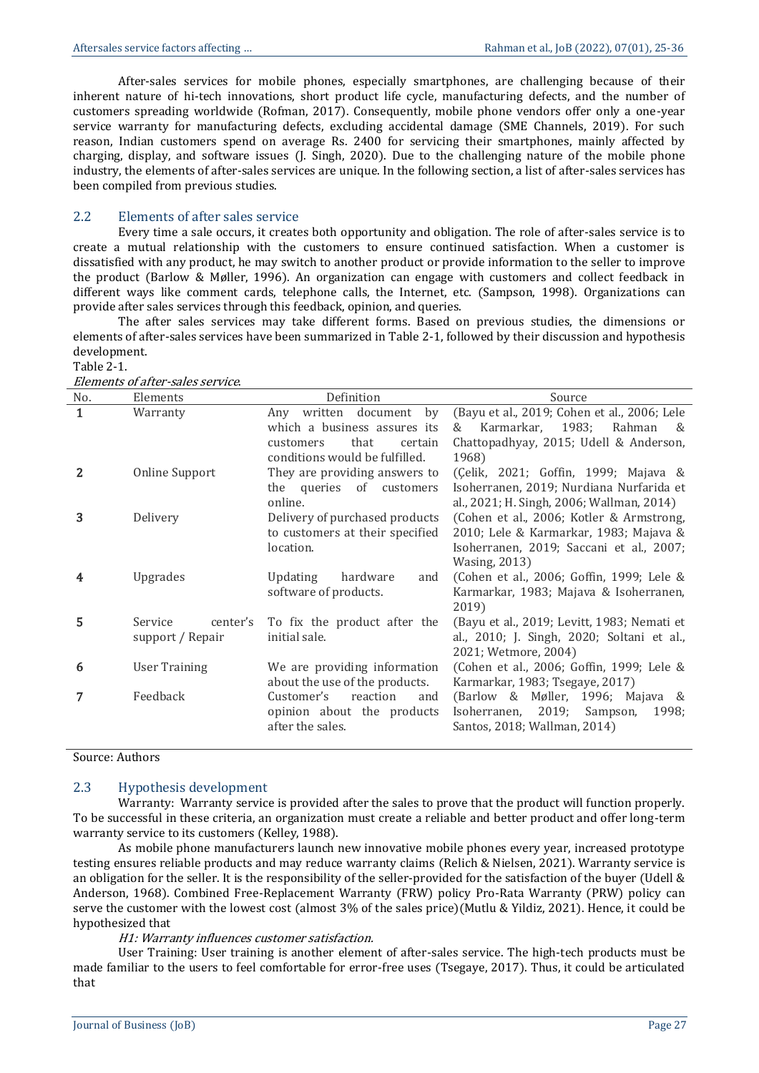After-sales services for mobile phones, especially smartphones, are challenging because of their inherent nature of hi-tech innovations, short product life cycle, manufacturing defects, and the number of customers spreading worldwide (Rofman, 2017). Consequently, mobile phone vendors offer only a one-year service warranty for manufacturing defects, excluding accidental damage (SME Channels, 2019). For such reason, Indian customers spend on average Rs. 2400 for servicing their smartphones, mainly affected by charging, display, and software issues (J. Singh, 2020). Due to the challenging nature of the mobile phone industry, the elements of after-sales services are unique. In the following section, a list of after-sales services has been compiled from previous studies.

#### 2.2 Elements of after sales service

Every time a sale occurs, it creates both opportunity and obligation. The role of after-sales service is to create a mutual relationship with the customers to ensure continued satisfaction. When a customer is dissatisfied with any product, he may switch to another product or provide information to the seller to improve the product (Barlow & Møller, 1996). An organization can engage with customers and collect feedback in different ways like comment cards, telephone calls, the Internet, etc. (Sampson, 1998). Organizations can provide after sales services through this feedback, opinion, and queries.

The after sales services may take different forms. Based on previous studies, the dimensions or elements of after-sales services have been summarized in Table 2-1, followed by their discussion and hypothesis development.

#### Table 2-1.

| Elements of after-sales service. |  |
|----------------------------------|--|
|                                  |  |

| No. | Elements                                | Definition                                                                                                                   | Source                                                                                                                                                 |
|-----|-----------------------------------------|------------------------------------------------------------------------------------------------------------------------------|--------------------------------------------------------------------------------------------------------------------------------------------------------|
| 1   | Warranty                                | Any written document<br>by<br>which a business assures its<br>that<br>certain<br>customers<br>conditions would be fulfilled. | (Bayu et al., 2019; Cohen et al., 2006; Lele<br>Karmarkar, 1983;<br>Rahman<br>$\mathcal{R}$<br>&<br>Chattopadhyay, 2015; Udell & Anderson,<br>1968)    |
| 2   | Online Support                          | They are providing answers to<br>the queries of customers<br>online.                                                         | (Çelik, 2021; Goffin, 1999; Majava &<br>Isoherranen, 2019; Nurdiana Nurfarida et<br>al., 2021; H. Singh, 2006; Wallman, 2014)                          |
| 3   | Delivery                                | Delivery of purchased products<br>to customers at their specified<br>location.                                               | (Cohen et al., 2006; Kotler & Armstrong,<br>2010; Lele & Karmarkar, 1983; Majava &<br>Isoherranen, 2019; Saccani et al., 2007;<br><b>Wasing, 2013)</b> |
| 4   | Upgrades                                | <b>Updating</b><br>hardware<br>and<br>software of products.                                                                  | (Cohen et al., 2006; Goffin, 1999; Lele &<br>Karmarkar, 1983; Majava & Isoherranen,<br>2019)                                                           |
| 5   | Service<br>center's<br>support / Repair | To fix the product after the<br>initial sale.                                                                                | (Bayu et al., 2019; Levitt, 1983; Nemati et<br>al., 2010; J. Singh, 2020; Soltani et al.,<br>2021; Wetmore, 2004)                                      |
| 6   | User Training                           | We are providing information<br>about the use of the products.                                                               | (Cohen et al., 2006; Goffin, 1999; Lele &<br>Karmarkar, 1983; Tsegaye, 2017)                                                                           |
|     | Feedback                                | reaction<br>Customer's<br>and<br>opinion about the products<br>after the sales.                                              | (Barlow & Møller, 1996; Majava &<br>Isoherranen, 2019; Sampson,<br>1998;<br>Santos, 2018; Wallman, 2014)                                               |

Source: Authors

#### 2.3 Hypothesis development

Warranty: Warranty service is provided after the sales to prove that the product will function properly. To be successful in these criteria, an organization must create a reliable and better product and offer long-term warranty service to its customers (Kelley, 1988).

As mobile phone manufacturers launch new innovative mobile phones every year, increased prototype testing ensures reliable products and may reduce warranty claims (Relich & Nielsen, 2021). Warranty service is an obligation for the seller. It is the responsibility of the seller-provided for the satisfaction of the buyer (Udell & Anderson, 1968). Combined Free-Replacement Warranty (FRW) policy Pro-Rata Warranty (PRW) policy can serve the customer with the lowest cost (almost 3% of the sales price)(Mutlu & Yildiz, 2021). Hence, it could be hypothesized that

#### H1: Warranty influences customer satisfaction.

User Training: User training is another element of after-sales service. The high-tech products must be made familiar to the users to feel comfortable for error-free uses (Tsegaye, 2017). Thus, it could be articulated that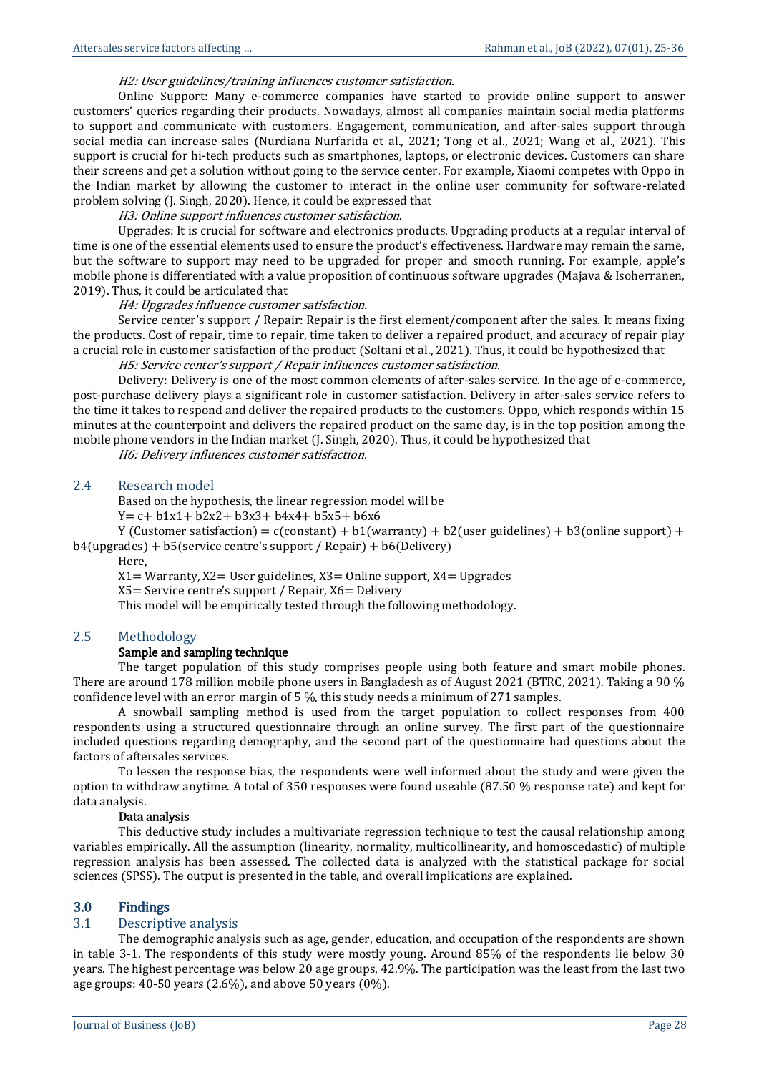#### H2: User guidelines/training influences customer satisfaction.

Online Support: Many e-commerce companies have started to provide online support to answer customers' queries regarding their products. Nowadays, almost all companies maintain social media platforms to support and communicate with customers. Engagement, communication, and after-sales support through social media can increase sales (Nurdiana Nurfarida et al., 2021; Tong et al., 2021; Wang et al., 2021). This support is crucial for hi-tech products such as smartphones, laptops, or electronic devices. Customers can share their screens and get a solution without going to the service center. For example, Xiaomi competes with Oppo in the Indian market by allowing the customer to interact in the online user community for software-related problem solving (J. Singh, 2020). Hence, it could be expressed that

#### H3: Online support influences customer satisfaction.

Upgrades: It is crucial for software and electronics products. Upgrading products at a regular interval of time is one of the essential elements used to ensure the product's effectiveness. Hardware may remain the same, but the software to support may need to be upgraded for proper and smooth running. For example, apple's mobile phone is differentiated with a value proposition of continuous software upgrades (Majava & Isoherranen, 2019). Thus, it could be articulated that

#### H4: Upgrades influence customer satisfaction.

Service center's support / Repair: Repair is the first element/component after the sales. It means fixing the products. Cost of repair, time to repair, time taken to deliver a repaired product, and accuracy of repair play a crucial role in customer satisfaction of the product (Soltani et al., 2021). Thus, it could be hypothesized that

H5: Service center's support / Repair influences customer satisfaction.

Delivery: Delivery is one of the most common elements of after-sales service. In the age of e-commerce, post-purchase delivery plays a significant role in customer satisfaction. Delivery in after-sales service refers to the time it takes to respond and deliver the repaired products to the customers. Oppo, which responds within 15 minutes at the counterpoint and delivers the repaired product on the same day, is in the top position among the mobile phone vendors in the Indian market (J. Singh, 2020). Thus, it could be hypothesized that

H6: Delivery influences customer satisfaction.

#### 2.4 Research model

Based on the hypothesis, the linear regression model will be

 $Y = c + b1x1 + b2x2 + b3x3 + b4x4 + b5x5 + b6x6$ 

Y (Customer satisfaction) =  $c$ (constant) +  $b1$ (warranty) +  $b2$ (user guidelines) +  $b3$ (online support) +  $b4$ (upgrades) +  $b5$ (service centre's support / Repair) +  $b6$ (Delivery)

Here,

 $X1=$  Warranty,  $X2=$  User guidelines,  $X3=$  Online support,  $X4=$  Upgrades

X5= Service centre's support / Repair, X6= Delivery

This model will be empirically tested through the following methodology.

#### 2.5 Methodology

#### Sample and sampling technique

The target population of this study comprises people using both feature and smart mobile phones. There are around 178 million mobile phone users in Bangladesh as of August 2021 (BTRC, 2021). Taking a 90 % confidence level with an error margin of 5 %, this study needs a minimum of 271 samples.

A snowball sampling method is used from the target population to collect responses from 400 respondents using a structured questionnaire through an online survey. The first part of the questionnaire included questions regarding demography, and the second part of the questionnaire had questions about the factors of aftersales services.

To lessen the response bias, the respondents were well informed about the study and were given the option to withdraw anytime. A total of 350 responses were found useable (87.50 % response rate) and kept for data analysis.

#### Data analysis

This deductive study includes a multivariate regression technique to test the causal relationship among variables empirically. All the assumption (linearity, normality, multicollinearity, and homoscedastic) of multiple regression analysis has been assessed. The collected data is analyzed with the statistical package for social sciences (SPSS). The output is presented in the table, and overall implications are explained.

#### 3.0 Findings

#### 3.1 Descriptive analysis

The demographic analysis such as age, gender, education, and occupation of the respondents are shown in table 3-1. The respondents of this study were mostly young. Around 85% of the respondents lie below 30 years. The highest percentage was below 20 age groups, 42.9%. The participation was the least from the last two age groups: 40-50 years (2.6%), and above 50 years (0%).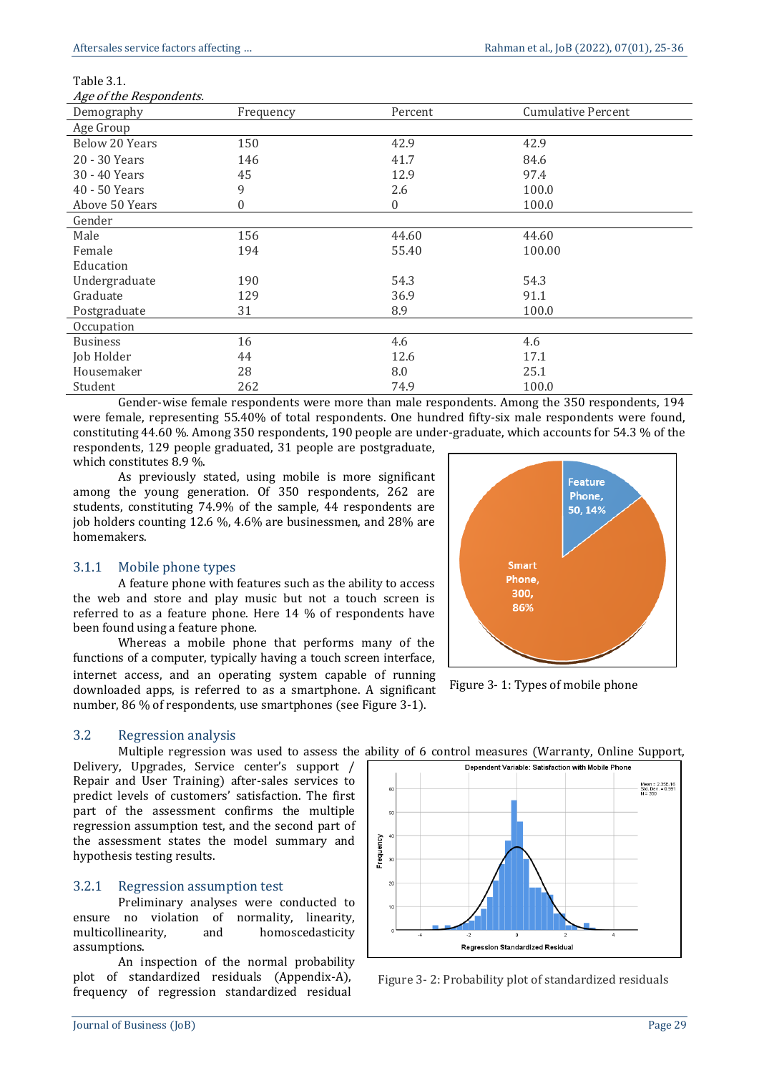| Table 3. |  |  |  |  |
|----------|--|--|--|--|
|----------|--|--|--|--|

| Age of the Respondents. |  |  |  |
|-------------------------|--|--|--|
|-------------------------|--|--|--|

| лде от ше пезрописть. |                  |                  |                           |  |
|-----------------------|------------------|------------------|---------------------------|--|
| Demography            | Frequency        | Percent          | <b>Cumulative Percent</b> |  |
| Age Group             |                  |                  |                           |  |
| Below 20 Years        | 150              | 42.9             | 42.9                      |  |
| 20 - 30 Years         | 146              | 41.7             | 84.6                      |  |
| 30 - 40 Years         | 45               | 12.9             | 97.4                      |  |
| $40 - 50$ Years       | 9                | 2.6              | 100.0                     |  |
| Above 50 Years        | $\boldsymbol{0}$ | $\boldsymbol{0}$ | 100.0                     |  |
| Gender                |                  |                  |                           |  |
| Male                  | 156              | 44.60            | 44.60                     |  |
| Female                | 194              | 55.40            | 100.00                    |  |
| Education             |                  |                  |                           |  |
| Undergraduate         | 190              | 54.3             | 54.3                      |  |
| Graduate              | 129              | 36.9             | 91.1                      |  |
| Postgraduate          | 31               | 8.9              | 100.0                     |  |
| Occupation            |                  |                  |                           |  |
| <b>Business</b>       | 16               | 4.6              | 4.6                       |  |
| Job Holder            | 44               | 12.6             | 17.1                      |  |
| Housemaker            | 28               | 8.0              | 25.1                      |  |
| Student               | 262              | 74.9             | 100.0                     |  |

Gender-wise female respondents were more than male respondents. Among the 350 respondents, 194 were female, representing 55.40% of total respondents. One hundred fifty-six male respondents were found, constituting 44.60 %. Among 350 respondents, 190 people are under-graduate, which accounts for 54.3 % of the respondents, 129 people graduated, 31 people are postgraduate,

which constitutes 8.9 %.

As previously stated, using mobile is more significant among the young generation. Of 350 respondents, 262 are students, constituting 74.9% of the sample, 44 respondents are job holders counting 12.6 %, 4.6% are businessmen, and 28% are homemakers.

#### 3.1.1 Mobile phone types

A feature phone with features such as the ability to access the web and store and play music but not a touch screen is referred to as a feature phone. Here 14 % of respondents have been found using a feature phone.

Whereas a mobile phone that performs many of the functions of a computer, typically having a touch screen interface, internet access, and an operating system capable of running downloaded apps, is referred to as a smartphone. A significant number, 86 % of respondents, use smartphones (see Figure 3-1).

#### 3.2 Regression analysis

Multiple regression was used to assess the ability of 6 control measures (Warranty, Online Support,

Delivery, Upgrades, Service center's support / Repair and User Training) after-sales services to predict levels of customers' satisfaction. The first part of the assessment confirms the multiple regression assumption test, and the second part of the assessment states the model summary and hypothesis testing results.

#### 3.2.1 Regression assumption test

Preliminary analyses were conducted to ensure no violation of normality, linearity, multicollinearity, and homoscedasticity assumptions.

An inspection of the normal probability plot of standardized residuals (Appendix-A), frequency of regression standardized residual



Figure 3- 1: Types of mobile phone



Figure 3- 2: Probability plot of standardized residuals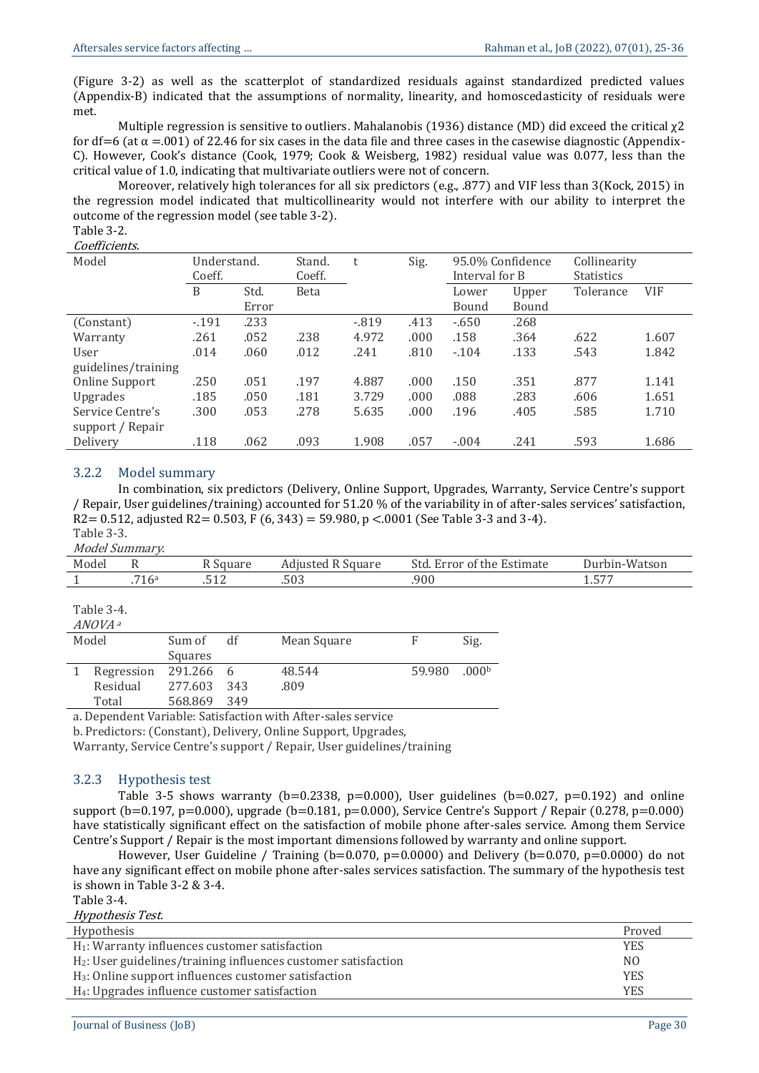(Figure 3-2) as well as the scatterplot of standardized residuals against standardized predicted values (Appendix-B) indicated that the assumptions of normality, linearity, and homoscedasticity of residuals were met.

Multiple regression is sensitive to outliers. Mahalanobis (1936) distance (MD) did exceed the critical χ2 for df=6 (at  $\alpha$  =.001) of 22.46 for six cases in the data file and three cases in the casewise diagnostic (Appendix-C). However, Cook's distance (Cook, 1979; Cook & Weisberg, 1982) residual value was 0.077, less than the critical value of 1.0, indicating that multivariate outliers were not of concern.

Moreover, relatively high tolerances for all six predictors (e.g., .877) and VIF less than 3(Kock, 2015) in the regression model indicated that multicollinearity would not interfere with our ability to interpret the outcome of the regression model (see table 3-2).

# Table 3-2.

Coefficients.

| Model               | Understand.<br>Coeff. |       | Stand.<br>Coeff. | t      | Sig.  | 95.0% Confidence<br>Interval for B |       | Collinearity<br><b>Statistics</b> |            |
|---------------------|-----------------------|-------|------------------|--------|-------|------------------------------------|-------|-----------------------------------|------------|
|                     | B                     | Std.  | <b>Beta</b>      |        |       | Lower                              | Upper | Tolerance                         | <b>VIF</b> |
|                     |                       | Error |                  |        |       | Bound                              | Bound |                                   |            |
| (Constant)          | $-191$                | .233  |                  | $-819$ | .413  | $-.650$                            | .268  |                                   |            |
| Warranty            | .261                  | .052  | .238             | 4.972  | .000  | .158                               | .364  | .622                              | 1.607      |
| User                | .014                  | .060  | .012             | .241   | .810  | $-104$                             | .133  | .543                              | 1.842      |
| guidelines/training |                       |       |                  |        |       |                                    |       |                                   |            |
| Online Support      | .250                  | .051  | .197             | 4.887  | .000  | .150                               | .351  | .877                              | 1.141      |
| Upgrades            | .185                  | .050  | .181             | 3.729  | .000. | .088                               | .283  | .606                              | 1.651      |
| Service Centre's    | .300                  | .053  | .278             | 5.635  | .000  | .196                               | .405  | .585                              | 1.710      |
| support / Repair    |                       |       |                  |        |       |                                    |       |                                   |            |
| Delivery            | .118                  | .062  | .093             | 1.908  | .057  | $-.004$                            | .241  | .593                              | 1.686      |

#### 3.2.2 Model summary

In combination, six predictors (Delivery, Online Support, Upgrades, Warranty, Service Centre's support / Repair, User guidelines/training) accounted for 51.20 % of the variability in of after-sales services' satisfaction, R2 = 0.512, adjusted R2 = 0.503, F (6, 343) = 59.980, p < 0.001 (See Table 3-3 and 3-4).

Table 3-3.

| Model | <i>Summarv.</i> |          |                   |                            |               |
|-------|-----------------|----------|-------------------|----------------------------|---------------|
| Model |                 | R Square | Adjusted R Square | Std. Error of the Estimate | Durbin-Watson |
|       | $716^{\circ}$   |          |                   | 900                        | ---           |

| Table 3 |  |
|---------|--|
|---------|--|

| ANOVA a    |           |     |             |        |                   |
|------------|-----------|-----|-------------|--------|-------------------|
| Model      | Sum of    | df  | Mean Square | F      | Sig.              |
|            | Squares   |     |             |        |                   |
| Regression | 291.266 6 |     | 48.544      | 59.980 | .000 <sup>b</sup> |
| Residual   | 277.603   | 343 | .809        |        |                   |
| Total      | 568.869   | 349 |             |        |                   |

a. Dependent Variable: Satisfaction with After-sales service

b. Predictors: (Constant), Delivery, Online Support, Upgrades,

Warranty, Service Centre's support / Repair, User guidelines/training

#### 3.2.3 Hypothesis test

Table 3-5 shows warranty (b=0.2338, p=0.000), User guidelines (b=0.027, p=0.192) and online support (b=0.197, p=0.000), upgrade (b=0.181, p=0.000), Service Centre's Support / Repair (0.278, p=0.000) have statistically significant effect on the satisfaction of mobile phone after-sales service. Among them Service Centre's Support / Repair is the most important dimensions followed by warranty and online support.

However, User Guideline / Training ( $b=0.070$ ,  $p=0.0000$ ) and Delivery ( $b=0.070$ ,  $p=0.0000$ ) do not have any significant effect on mobile phone after-sales services satisfaction. The summary of the hypothesis test is shown in Table 3-2 & 3-4.

Table 3-4.

| Hypothesis                                                                 | Proved         |
|----------------------------------------------------------------------------|----------------|
| H <sub>1</sub> : Warranty influences customer satisfaction                 | <b>YES</b>     |
| H <sub>2</sub> : User guidelines/training influences customer satisfaction | N <sub>0</sub> |
| H <sub>3</sub> : Online support influences customer satisfaction           | <b>YES</b>     |
| H <sub>4</sub> : Upgrades influence customer satisfaction                  | <b>YES</b>     |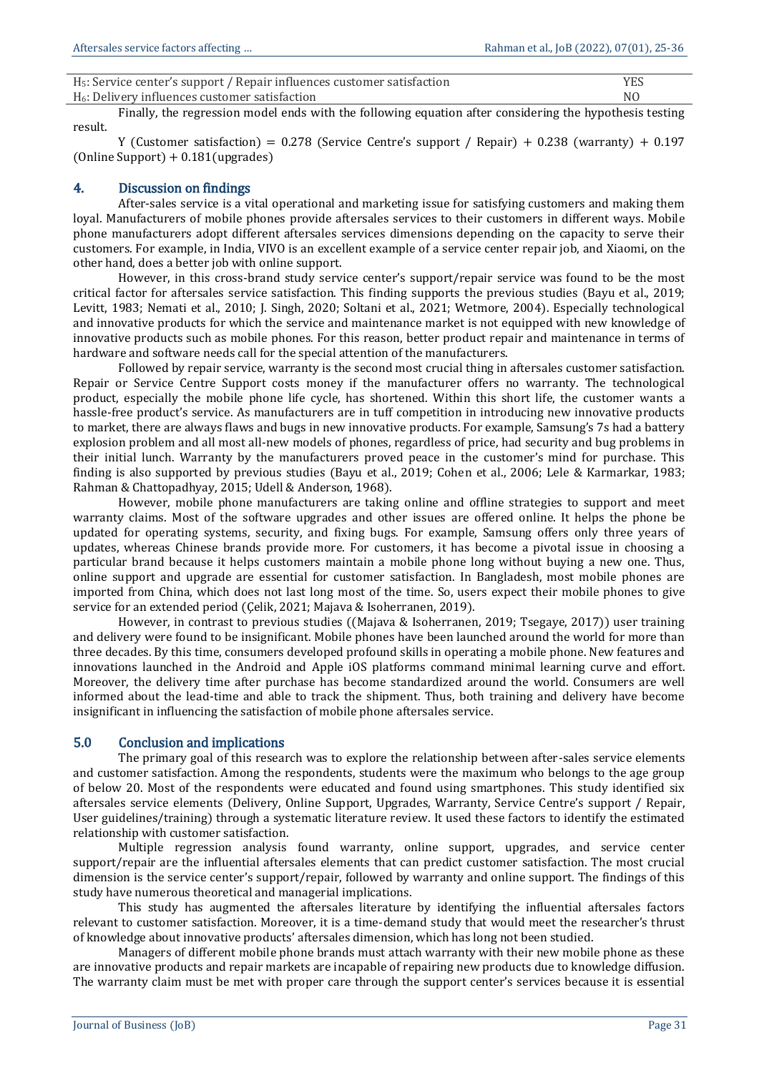| H <sub>5</sub> : Service center's support / Repair influences customer satisfaction | <b>YES</b>     |
|-------------------------------------------------------------------------------------|----------------|
| H <sub>6</sub> : Delivery influences customer satisfaction                          | N <sub>0</sub> |

Finally, the regression model ends with the following equation after considering the hypothesis testing result.

Y (Customer satisfaction) =  $0.278$  (Service Centre's support / Repair) + 0.238 (warranty) + 0.197  $(Online Support) + 0.181(upgrades)$ 

#### 4. Discussion on findings

After-sales service is a vital operational and marketing issue for satisfying customers and making them loyal. Manufacturers of mobile phones provide aftersales services to their customers in different ways. Mobile phone manufacturers adopt different aftersales services dimensions depending on the capacity to serve their customers. For example, in India, VIVO is an excellent example of a service center repair job, and Xiaomi, on the other hand, does a better job with online support.

However, in this cross-brand study service center's support/repair service was found to be the most critical factor for aftersales service satisfaction. This finding supports the previous studies (Bayu et al., 2019; Levitt, 1983; Nemati et al., 2010; J. Singh, 2020; Soltani et al., 2021; Wetmore, 2004). Especially technological and innovative products for which the service and maintenance market is not equipped with new knowledge of innovative products such as mobile phones. For this reason, better product repair and maintenance in terms of hardware and software needs call for the special attention of the manufacturers.

Followed by repair service, warranty is the second most crucial thing in aftersales customer satisfaction. Repair or Service Centre Support costs money if the manufacturer offers no warranty. The technological product, especially the mobile phone life cycle, has shortened. Within this short life, the customer wants a hassle-free product's service. As manufacturers are in tuff competition in introducing new innovative products to market, there are always flaws and bugs in new innovative products. For example, Samsung's 7s had a battery explosion problem and all most all-new models of phones, regardless of price, had security and bug problems in their initial lunch. Warranty by the manufacturers proved peace in the customer's mind for purchase. This finding is also supported by previous studies (Bayu et al., 2019; Cohen et al., 2006; Lele & Karmarkar, 1983; Rahman & Chattopadhyay, 2015; Udell & Anderson, 1968).

However, mobile phone manufacturers are taking online and offline strategies to support and meet warranty claims. Most of the software upgrades and other issues are offered online. It helps the phone be updated for operating systems, security, and fixing bugs. For example, Samsung offers only three years of updates, whereas Chinese brands provide more. For customers, it has become a pivotal issue in choosing a particular brand because it helps customers maintain a mobile phone long without buying a new one. Thus, online support and upgrade are essential for customer satisfaction. In Bangladesh, most mobile phones are imported from China, which does not last long most of the time. So, users expect their mobile phones to give service for an extended period (Çelik, 2021; Majava & Isoherranen, 2019).

However, in contrast to previous studies ((Majava & Isoherranen, 2019; Tsegaye, 2017)) user training and delivery were found to be insignificant. Mobile phones have been launched around the world for more than three decades. By this time, consumers developed profound skills in operating a mobile phone. New features and innovations launched in the Android and Apple iOS platforms command minimal learning curve and effort. Moreover, the delivery time after purchase has become standardized around the world. Consumers are well informed about the lead-time and able to track the shipment. Thus, both training and delivery have become insignificant in influencing the satisfaction of mobile phone aftersales service.

#### 5.0 Conclusion and implications

The primary goal of this research was to explore the relationship between after-sales service elements and customer satisfaction. Among the respondents, students were the maximum who belongs to the age group of below 20. Most of the respondents were educated and found using smartphones. This study identified six aftersales service elements (Delivery, Online Support, Upgrades, Warranty, Service Centre's support / Repair, User guidelines/training) through a systematic literature review. It used these factors to identify the estimated relationship with customer satisfaction.

Multiple regression analysis found warranty, online support, upgrades, and service center support/repair are the influential aftersales elements that can predict customer satisfaction. The most crucial dimension is the service center's support/repair, followed by warranty and online support. The findings of this study have numerous theoretical and managerial implications.

This study has augmented the aftersales literature by identifying the influential aftersales factors relevant to customer satisfaction. Moreover, it is a time-demand study that would meet the researcher's thrust of knowledge about innovative products' aftersales dimension, which has long not been studied.

Managers of different mobile phone brands must attach warranty with their new mobile phone as these are innovative products and repair markets are incapable of repairing new products due to knowledge diffusion. The warranty claim must be met with proper care through the support center's services because it is essential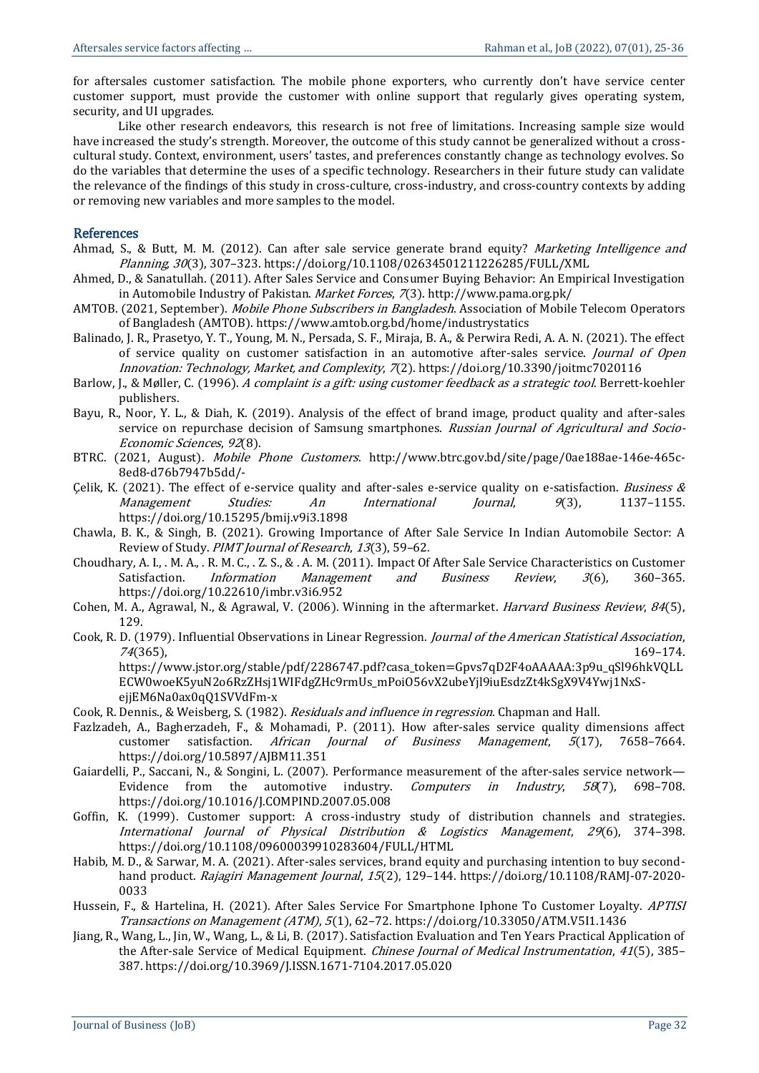for aftersales customer satisfaction. The mobile phone exporters, who currently don't have service center customer support, must provide the customer with online support that regularly gives operating system, security, and UI upgrades.

Like other research endeavors, this research is not free of limitations. Increasing sample size would have increased the study's strength. Moreover, the outcome of this study cannot be generalized without a crosscultural study. Context, environment, users' tastes, and preferences constantly change as technology evolves. So do the variables that determine the uses of a specific technology. Researchers in their future study can validate the relevance of the findings of this study in cross-culture, cross-industry, and cross-country contexts by adding or removing new variables and more samples to the model.

#### References

- Ahmad, S., & Butt, M. M. (2012). Can after sale service generate brand equity? Marketing Intelligence and Planning, 30(3), 307–323. https://doi.org/10.1108/02634501211226285/FULL/XML
- Ahmed, D., & Sanatullah. (2011). After Sales Service and Consumer Buying Behavior: An Empirical Investigation in Automobile Industry of Pakistan. Market Forces, 7(3). http://www.pama.org.pk/
- AMTOB. (2021, September). *Mobile Phone Subscribers in Bangladesh*. Association of Mobile Telecom Operators of Bangladesh (AMTOB). https://www.amtob.org.bd/home/industrystatics
- Balinado, J. R., Prasetyo, Y. T., Young, M. N., Persada, S. F., Miraja, B. A., & Perwira Redi, A. A. N. (2021). The effect of service quality on customer satisfaction in an automotive after-sales service. Journal of Open Innovation: Technology, Market, and Complexity, 7(2). https://doi.org/10.3390/joitmc7020116
- Barlow, J., & Møller, C. (1996). A complaint is a gift: using customer feedback as a strategic tool. Berrett-koehler publishers.
- Bayu, R., Noor, Y. L., & Diah, K. (2019). Analysis of the effect of brand image, product quality and after-sales service on repurchase decision of Samsung smartphones. Russian Journal of Agricultural and Socio-Economic Sciences, 92(8).
- BTRC. (2021, August). Mobile Phone Customers. http://www.btrc.gov.bd/site/page/0ae188ae-146e-465c-8ed8-d76b7947b5dd/-
- Çelik, K. (2021). The effect of e-service quality and after-sales e-service quality on e-satisfaction. Business  $\&$ Management Studies: An International Journal, 9(3), 1137–1155. https://doi.org/10.15295/bmij.v9i3.1898
- Chawla, B. K., & Singh, B. (2021). Growing Importance of After Sale Service In Indian Automobile Sector: A Review of Study. PIMT Journal of Research, 13(3), 59–62.
- Choudhary, A. I., . M. A., . R. M. C., . Z. S., & . A. M. (2011). Impact Of After Sale Service Characteristics on Customer Satisfaction. *Information Management and Business Review*, 3(6), 360-365. https://doi.org/10.22610/imbr.v3i6.952
- Cohen, M. A., Agrawal, N., & Agrawal, V. (2006). Winning in the aftermarket. *Harvard Business Review, 84*(5), 129.
- Cook, R. D. (1979). Influential Observations in Linear Regression. Journal of the American Statistical Association,  $74(365)$ , 169–174.

https://www.jstor.org/stable/pdf/2286747.pdf?casa\_token=Gpvs7qD2F4oAAAAA:3p9u\_qSl96hkVQLL ECW0woeK5yuN2o6RzZHsj1WIFdgZHc9rmUs\_mPoiO56vX2ubeYjl9iuEsdzZt4kSgX9V4Ywj1NxSejjEM6Na0ax0qQ1SVVdFm-x

Cook, R. Dennis., & Weisberg, S. (1982). Residuals and influence in regression. Chapman and Hall.

- Fazlzadeh, A., Bagherzadeh, F., & Mohamadi, P. (2011). How after-sales service quality dimensions affect customer satisfaction. African Journal of Business Management, 5(17), 7658-7664. https://doi.org/10.5897/AJBM11.351
- Gaiardelli, P., Saccani, N., & Songini, L. (2007). Performance measurement of the after-sales service network— Evidence from the automotive industry. Computers in Industry, 58(7), 698-708. https://doi.org/10.1016/J.COMPIND.2007.05.008
- Goffin, K. (1999). Customer support: A cross-industry study of distribution channels and strategies. International Journal of Physical Distribution & Logistics Management, 29(6), 374–398. https://doi.org/10.1108/09600039910283604/FULL/HTML
- Habib, M. D., & Sarwar, M. A. (2021). After-sales services, brand equity and purchasing intention to buy secondhand product. Rajagiri Management Journal, 15(2), 129-144. https://doi.org/10.1108/RAMJ-07-2020-0033
- Hussein, F., & Hartelina, H. (2021). After Sales Service For Smartphone Iphone To Customer Loyalty. APTISI Transactions on Management (ATM), 5(1), 62–72. https://doi.org/10.33050/ATM.V5I1.1436
- Jiang, R., Wang, L., Jin, W., Wang, L., & Li, B. (2017). Satisfaction Evaluation and Ten Years Practical Application of the After-sale Service of Medical Equipment. *Chinese Journal of Medical Instrumentation*, 41(5), 385– 387. https://doi.org/10.3969/J.ISSN.1671-7104.2017.05.020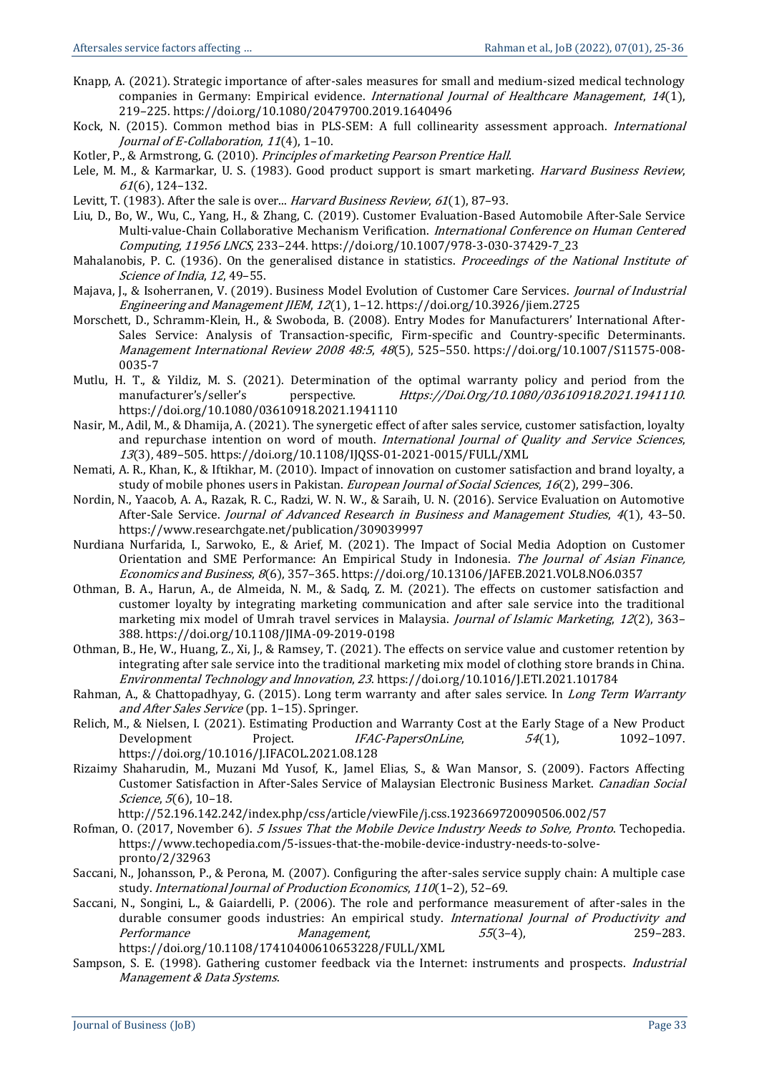- Knapp, A. (2021). Strategic importance of after-sales measures for small and medium-sized medical technology companies in Germany: Empirical evidence. International Journal of Healthcare Management, 14(1), 219–225. https://doi.org/10.1080/20479700.2019.1640496
- Kock, N. (2015). Common method bias in PLS-SEM: A full collinearity assessment approach. *International* Journal of E-Collaboration, 11(4), 1–10.
- Kotler, P., & Armstrong, G. (2010). Principles of marketing Pearson Prentice Hall.
- Lele, M. M., & Karmarkar, U. S. (1983). Good product support is smart marketing. *Harvard Business Review*, <sup>61</sup>(6), 124–132.
- Levitt, T. (1983). After the sale is over... Harvard Business Review, 61(1), 87-93.
- Liu, D., Bo, W., Wu, C., Yang, H., & Zhang, C. (2019). Customer Evaluation-Based Automobile After-Sale Service Multi-value-Chain Collaborative Mechanism Verification. International Conference on Human Centered Computing, 11956 LNCS, 233–244. https://doi.org/10.1007/978-3-030-37429-7\_23
- Mahalanobis, P. C. (1936). On the generalised distance in statistics. Proceedings of the National Institute of Science of India, 12, 49–55.
- Majava, J., & Isoherranen, V. (2019). Business Model Evolution of Customer Care Services. *Journal of Industrial* Engineering and Management JIEM, 12(1), 1–12. https://doi.org/10.3926/jiem.2725
- Morschett, D., Schramm-Klein, H., & Swoboda, B. (2008). Entry Modes for Manufacturers' International After-Sales Service: Analysis of Transaction-specific, Firm-specific and Country-specific Determinants. Management International Review 2008 48:5, 48(5), 525–550. https://doi.org/10.1007/S11575-008- 0035-7
- Mutlu, H. T., & Yildiz, M. S. (2021). Determination of the optimal warranty policy and period from the manufacturer's/seller's perspective. Https://Doi.Org/10.1080/03610918.2021.1941110. https://doi.org/10.1080/03610918.2021.1941110
- Nasir, M., Adil, M., & Dhamija, A. (2021). The synergetic effect of after sales service, customer satisfaction, loyalty and repurchase intention on word of mouth. International Journal of Quality and Service Sciences, <sup>13</sup>(3), 489–505. https://doi.org/10.1108/IJQSS-01-2021-0015/FULL/XML
- Nemati, A. R., Khan, K., & Iftikhar, M. (2010). Impact of innovation on customer satisfaction and brand loyalty, a study of mobile phones users in Pakistan. European Journal of Social Sciences, 16(2), 299–306.
- Nordin, N., Yaacob, A. A., Razak, R. C., Radzi, W. N. W., & Saraih, U. N. (2016). Service Evaluation on Automotive After-Sale Service. *Journal of Advanced Research in Business and Management Studies*, 4(1), 43-50. https://www.researchgate.net/publication/309039997
- Nurdiana Nurfarida, I., Sarwoko, E., & Arief, M. (2021). The Impact of Social Media Adoption on Customer Orientation and SME Performance: An Empirical Study in Indonesia. The Journal of Asian Finance, Economics and Business, 8(6), 357–365. https://doi.org/10.13106/JAFEB.2021.VOL8.NO6.0357
- Othman, B. A., Harun, A., de Almeida, N. M., & Sadq, Z. M. (2021). The effects on customer satisfaction and customer loyalty by integrating marketing communication and after sale service into the traditional marketing mix model of Umrah travel services in Malaysia. Journal of Islamic Marketing, 12(2), 363-388. https://doi.org/10.1108/JIMA-09-2019-0198
- Othman, B., He, W., Huang, Z., Xi, J., & Ramsey, T. (2021). The effects on service value and customer retention by integrating after sale service into the traditional marketing mix model of clothing store brands in China. Environmental Technology and Innovation, 23. https://doi.org/10.1016/J.ETI.2021.101784
- Rahman, A., & Chattopadhyay, G. (2015). Long term warranty and after sales service. In Long Term Warranty and After Sales Service (pp. 1–15). Springer.
- Relich, M., & Nielsen, I. (2021). Estimating Production and Warranty Cost at the Early Stage of a New Product Development Project. IFAC-PapersOnLine, 54(1), 1092-1097. https://doi.org/10.1016/J.IFACOL.2021.08.128
- Rizaimy Shaharudin, M., Muzani Md Yusof, K., Jamel Elias, S., & Wan Mansor, S. (2009). Factors Affecting Customer Satisfaction in After-Sales Service of Malaysian Electronic Business Market. Canadian Social Science, 5(6), 10–18.

http://52.196.142.242/index.php/css/article/viewFile/j.css.1923669720090506.002/57

- Rofman, O. (2017, November 6). 5 Issues That the Mobile Device Industry Needs to Solve, Pronto. Techopedia. https://www.techopedia.com/5-issues-that-the-mobile-device-industry-needs-to-solvepronto/2/32963
- Saccani, N., Johansson, P., & Perona, M. (2007). Configuring the after-sales service supply chain: A multiple case study. International Journal of Production Economics, 110(1–2), 52–69.
- Saccani, N., Songini, L., & Gaiardelli, P. (2006). The role and performance measurement of after-sales in the durable consumer goods industries: An empirical study. International Journal of Productivity and Performance Management, 55(3-4), 259-283. https://doi.org/10.1108/17410400610653228/FULL/XML
- Sampson, S. E. (1998). Gathering customer feedback via the Internet: instruments and prospects. Industrial Management & Data Systems.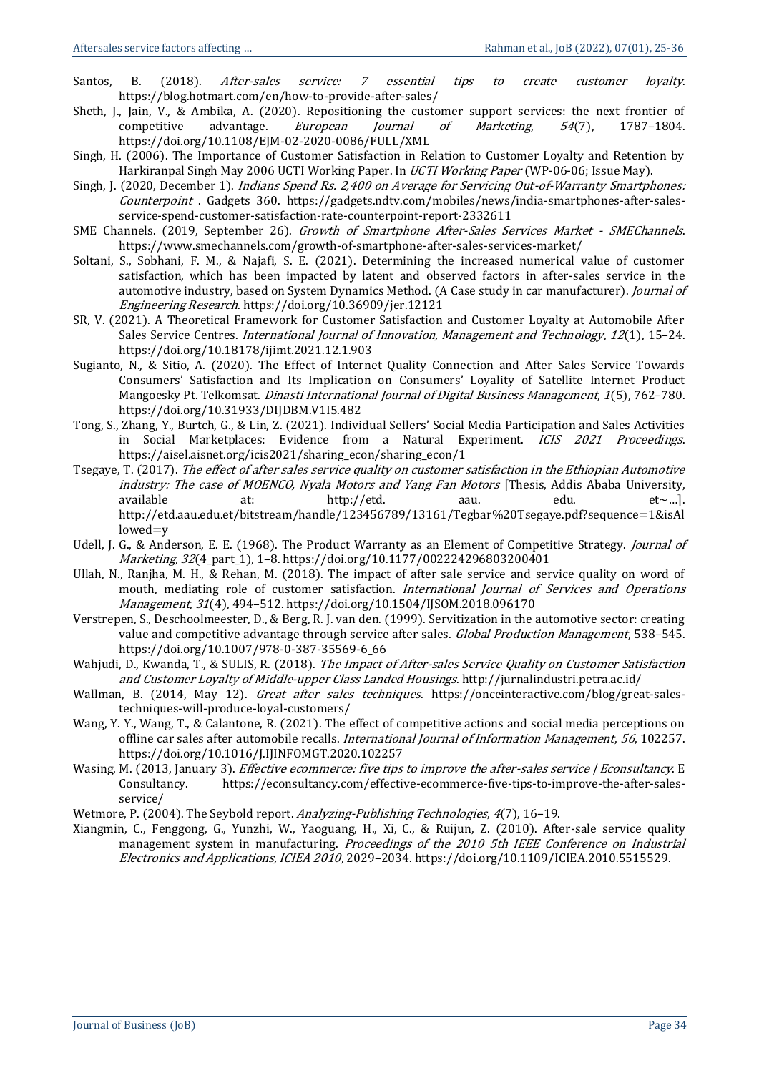- Santos, B. (2018). *After-sales service: 7 essential tips to create customer loyalty.* https://blog.hotmart.com/en/how-to-provide-after-sales/
- Sheth, J., Jain, V., & Ambika, A. (2020). Repositioning the customer support services: the next frontier of competitive advantage. *European Journal of Marketing*, 54(7), 1787-1804. https://doi.org/10.1108/EJM-02-2020-0086/FULL/XML
- Singh, H. (2006). The Importance of Customer Satisfaction in Relation to Customer Loyalty and Retention by Harkiranpal Singh May 2006 UCTI Working Paper. In UCTI Working Paper (WP-06-06; Issue May).
- Singh, J. (2020, December 1). *Indians Spend Rs. 2,400 on Average for Servicing Out-of-Warranty Smartphones:* Counterpoint . Gadgets 360. https://gadgets.ndtv.com/mobiles/news/india-smartphones-after-salesservice-spend-customer-satisfaction-rate-counterpoint-report-2332611
- SME Channels. (2019, September 26). Growth of Smartphone After-Sales Services Market SMEChannels. https://www.smechannels.com/growth-of-smartphone-after-sales-services-market/
- Soltani, S., Sobhani, F. M., & Najafi, S. E. (2021). Determining the increased numerical value of customer satisfaction, which has been impacted by latent and observed factors in after-sales service in the automotive industry, based on System Dynamics Method. (A Case study in car manufacturer). Journal of Engineering Research. https://doi.org/10.36909/jer.12121
- SR, V. (2021). A Theoretical Framework for Customer Satisfaction and Customer Loyalty at Automobile After Sales Service Centres. *International Journal of Innovation, Management and Technology*, 12(1), 15-24. https://doi.org/10.18178/ijimt.2021.12.1.903
- Sugianto, N., & Sitio, A. (2020). The Effect of Internet Quality Connection and After Sales Service Towards Consumers' Satisfaction and Its Implication on Consumers' Loyality of Satellite Internet Product Mangoesky Pt. Telkomsat. *Dinasti International Journal of Digital Business Management*, 1(5), 762-780. https://doi.org/10.31933/DIJDBM.V1I5.482
- Tong, S., Zhang, Y., Burtch, G., & Lin, Z. (2021). Individual Sellers' Social Media Participation and Sales Activities in Social Marketplaces: Evidence from a Natural Experiment. ICIS 2021 Proceedings. https://aisel.aisnet.org/icis2021/sharing\_econ/sharing\_econ/1
- Tsegaye, T. (2017). The effect of after sales service quality on customer satisfaction in the Ethiopian Automotive industry: The case of MOENCO, Nyala Motors and Yang Fan Motors [Thesis, Addis Ababa University, available at: http://etd. aau. edu. et~...]. http://etd.aau.edu.et/bitstream/handle/123456789/13161/Tegbar%20Tsegaye.pdf?sequence=1&isAl lowed=y
- Udell, J. G., & Anderson, E. E. (1968). The Product Warranty as an Element of Competitive Strategy. *Journal of* Marketing, 32(4\_part\_1), 1–8. https://doi.org/10.1177/002224296803200401
- Ullah, N., Ranjha, M. H., & Rehan, M. (2018). The impact of after sale service and service quality on word of mouth, mediating role of customer satisfaction. International Journal of Services and Operations Management, 31(4), 494–512. https://doi.org/10.1504/IJSOM.2018.096170
- Verstrepen, S., Deschoolmeester, D., & Berg, R. J. van den. (1999). Servitization in the automotive sector: creating value and competitive advantage through service after sales. Global Production Management, 538-545. https://doi.org/10.1007/978-0-387-35569-6\_66
- Wahjudi, D., Kwanda, T., & SULIS, R. (2018). The Impact of After-sales Service Quality on Customer Satisfaction and Customer Loyalty of Middle-upper Class Landed Housings. http://jurnalindustri.petra.ac.id/
- Wallman, B. (2014, May 12). *Great after sales techniques*. https://onceinteractive.com/blog/great-salestechniques-will-produce-loyal-customers/
- Wang, Y. Y., Wang, T., & Calantone, R. (2021). The effect of competitive actions and social media perceptions on offline car sales after automobile recalls. International Journal of Information Management, 56, 102257. https://doi.org/10.1016/J.IJINFOMGT.2020.102257
- Wasing, M. (2013, January 3). *Effective ecommerce: five tips to improve the after-sales service | Econsultancy*. E Consultancy. https://econsultancy.com/effective-ecommerce-five-tips-to-improve-the-after-salesservice/
- Wetmore, P. (2004). The Seybold report. Analyzing-Publishing Technologies, 4(7), 16-19.
- Xiangmin, C., Fenggong, G., Yunzhi, W., Yaoguang, H., Xi, C., & Ruijun, Z. (2010). After-sale service quality management system in manufacturing. Proceedings of the 2010 5th IEEE Conference on Industrial Electronics and Applications, ICIEA 2010, 2029–2034. https://doi.org/10.1109/ICIEA.2010.5515529.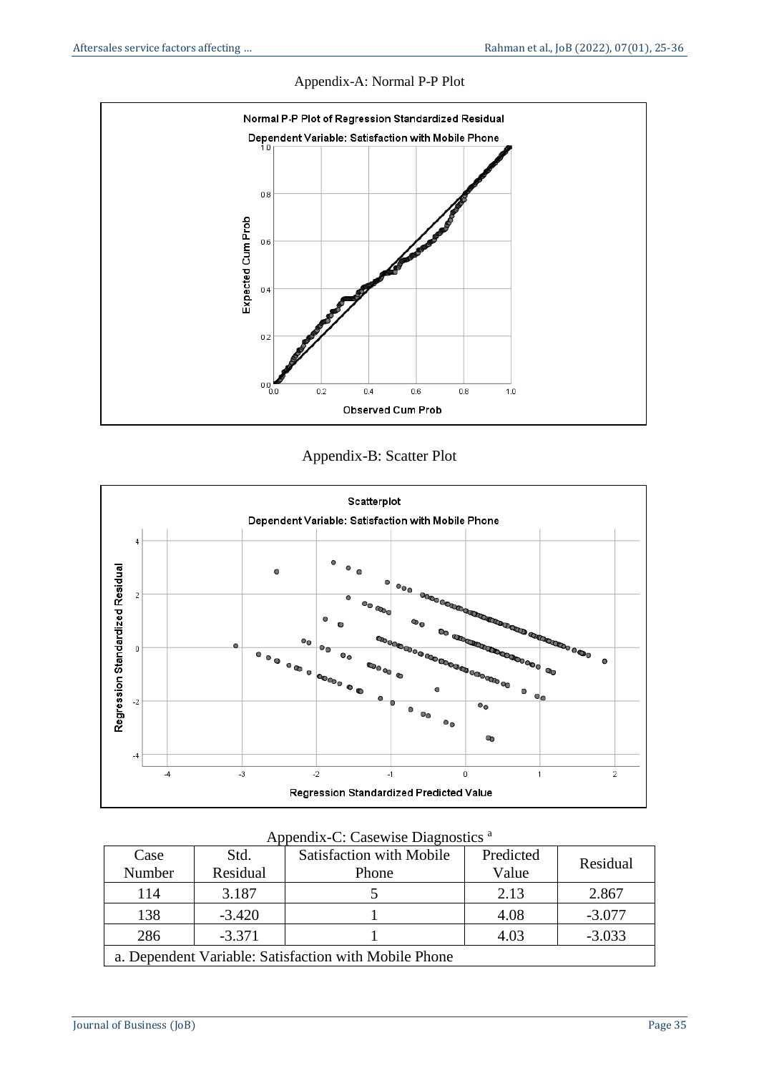

### Appendix-A: Normal P-P Plot





| $1$ reported $\alpha$ . Case which $P$ regrigates     |                  |                                          |                    |          |  |  |  |  |
|-------------------------------------------------------|------------------|------------------------------------------|--------------------|----------|--|--|--|--|
| Case<br>Number                                        | Std.<br>Residual | <b>Satisfaction with Mobile</b><br>Phone | Predicted<br>Value | Residual |  |  |  |  |
| 114                                                   | 3.187            |                                          | 2.13               | 2.867    |  |  |  |  |
| 138                                                   | $-3.420$         |                                          | 4.08               | $-3.077$ |  |  |  |  |
| 286                                                   | $-3.371$         |                                          | 4.03               | $-3.033$ |  |  |  |  |
| a. Dependent Variable: Satisfaction with Mobile Phone |                  |                                          |                    |          |  |  |  |  |

Appendix-C: Casewise Diagnostics <sup>a</sup>